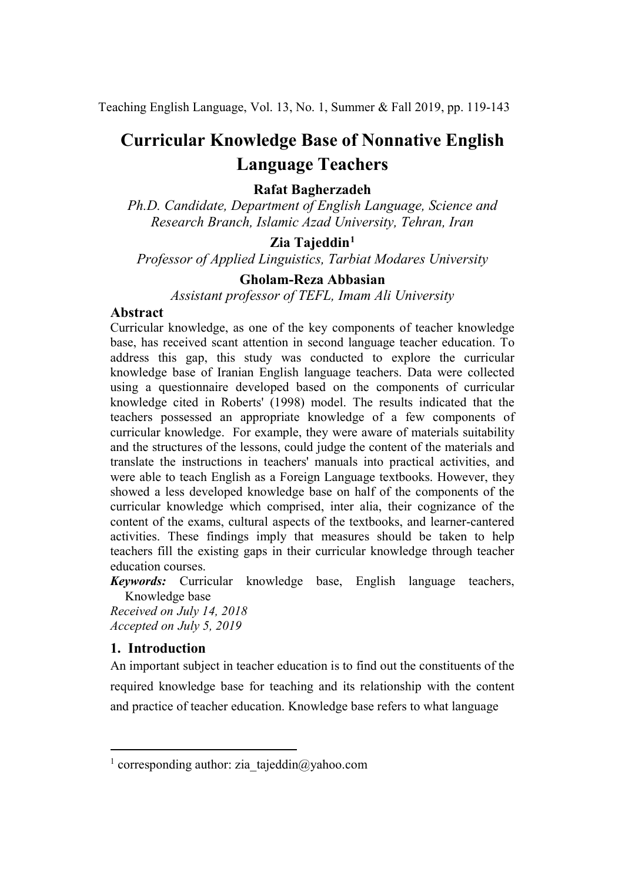Teaching English Language, Vol. 13, No. 1, Summer & Fall 2019, pp. 119-143

# **Curricular Knowledge Base of Nonnative English Language Teachers**

## **Rafat Bagherzadeh**

*Ph.D. Candidate, Department of English Language, Science and Research Branch, Islamic Azad University, Tehran, Iran*

# **Zia Tajeddin[1](#page-0-0)**

*Professor of Applied Linguistics, Tarbiat Modares University*

## **Gholam-Reza Abbasian**

*Assistant professor of TEFL, Imam Ali University*

## **Abstract**

Curricular knowledge, as one of the key components of teacher knowledge base, has received scant attention in second language teacher education. To address this gap, this study was conducted to explore the curricular knowledge base of Iranian English language teachers. Data were collected using a questionnaire developed based on the components of curricular knowledge cited in Roberts' (1998) model. The results indicated that the teachers possessed an appropriate knowledge of a few components of curricular knowledge. For example, they were aware of materials suitability and the structures of the lessons, could judge the content of the materials and translate the instructions in teachers' manuals into practical activities, and were able to teach English as a Foreign Language textbooks. However, they showed a less developed knowledge base on half of the components of the curricular knowledge which comprised, inter alia, their cognizance of the content of the exams, cultural aspects of the textbooks, and learner-cantered activities. These findings imply that measures should be taken to help teachers fill the existing gaps in their curricular knowledge through teacher education courses.

*Keywords:* Curricular knowledge base, English language teachers, Knowledge base

*Received on July 14, 2018 Accepted on July 5, 2019*

## **1. Introduction**

.<br>-

An important subject in teacher education is to find out the constituents of the required knowledge base for teaching and its relationship with the content and practice of teacher education. Knowledge base refers to what language

<span id="page-0-0"></span><sup>&</sup>lt;sup>1</sup> corresponding author: zia\_tajeddin@yahoo.com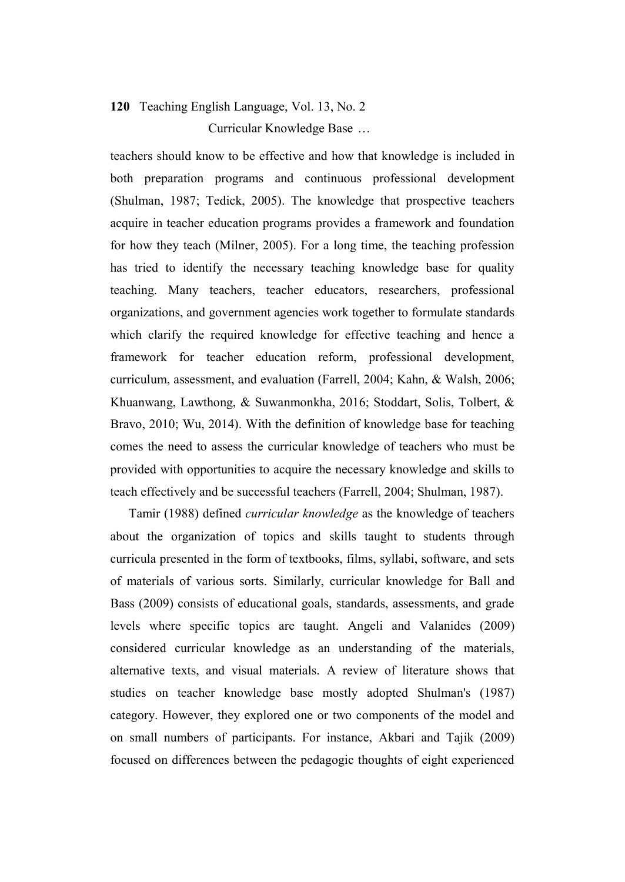# **120** Teaching English Language, Vol. 13, No. 2 Curricular Knowledge Base …

teachers should know to be effective and how that knowledge is included in both preparation programs and continuous professional development (Shulman, 1987; Tedick, 2005). The knowledge that prospective teachers acquire in teacher education programs provides a framework and foundation for how they teach (Milner, 2005). For a long time, the teaching profession has tried to identify the necessary teaching knowledge base for quality teaching. Many teachers, teacher educators, researchers, professional organizations, and government agencies work together to formulate standards which clarify the required knowledge for effective teaching and hence a framework for teacher education reform, professional development, curriculum, assessment, and evaluation (Farrell, 2004; Kahn, & Walsh, 2006; Khuanwang, Lawthong, & Suwanmonkha, 2016; Stoddart, Solis, Tolbert, & Bravo, 2010; Wu, 2014). With the definition of knowledge base for teaching comes the need to assess the curricular knowledge of teachers who must be provided with opportunities to acquire the necessary knowledge and skills to teach effectively and be successful teachers (Farrell, 2004; Shulman, 1987).

Tamir (1988) defined *curricular knowledge* as the knowledge of teachers about the organization of topics and skills taught to students through curricula presented in the form of textbooks, films, syllabi, software, and sets of materials of various sorts. Similarly, curricular knowledge for Ball and Bass (2009) consists of educational goals, standards, assessments, and grade levels where specific topics are taught. Angeli and Valanides (2009) considered curricular knowledge as an understanding of the materials, alternative texts, and visual materials. A review of literature shows that studies on teacher knowledge base mostly adopted Shulman's (1987) category. However, they explored one or two components of the model and on small numbers of participants. For instance, Akbari and Tajik (2009) focused on differences between the pedagogic thoughts of eight experienced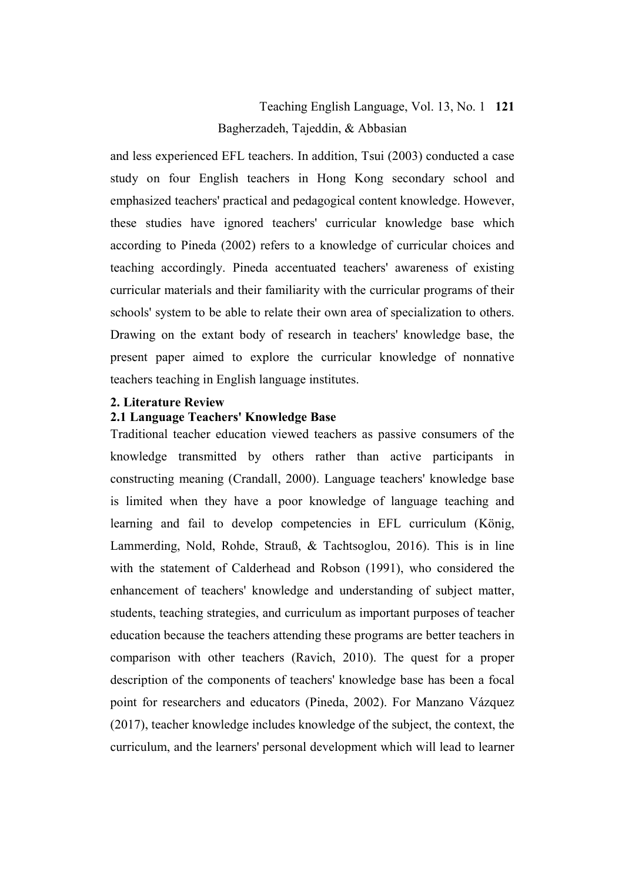# Teaching English Language, Vol. 13, No. 1 **121** Bagherzadeh, Tajeddin, & Abbasian

and less experienced EFL teachers. In addition, Tsui (2003) conducted a case study on four English teachers in Hong Kong secondary school and emphasized teachers' practical and pedagogical content knowledge. However, these studies have ignored teachers' curricular knowledge base which according to Pineda (2002) refers to a knowledge of curricular choices and teaching accordingly. Pineda accentuated teachers' awareness of existing curricular materials and their familiarity with the curricular programs of their schools' system to be able to relate their own area of specialization to others. Drawing on the extant body of research in teachers' knowledge base, the present paper aimed to explore the curricular knowledge of nonnative teachers teaching in English language institutes.

### **2. Literature Review**

## **2.1 Language Teachers' Knowledge Base**

Traditional teacher education viewed teachers as passive consumers of the knowledge transmitted by others rather than active participants in constructing meaning (Crandall, 2000). Language teachers' knowledge base is limited when they have a poor knowledge of language teaching and learning and fail to develop competencies in EFL curriculum (König, Lammerding, Nold, Rohde, Strauß, & Tachtsoglou, 2016). This is in line with the statement of Calderhead and Robson (1991), who considered the enhancement of teachers' knowledge and understanding of subject matter, students, teaching strategies, and curriculum as important purposes of teacher education because the teachers attending these programs are better teachers in comparison with other teachers (Ravich, 2010). The quest for a proper description of the components of teachers' knowledge base has been a focal point for researchers and educators (Pineda, 2002). For Manzano Vázquez (2017), teacher knowledge includes knowledge of the subject, the context, the curriculum, and the learners' personal development which will lead to learner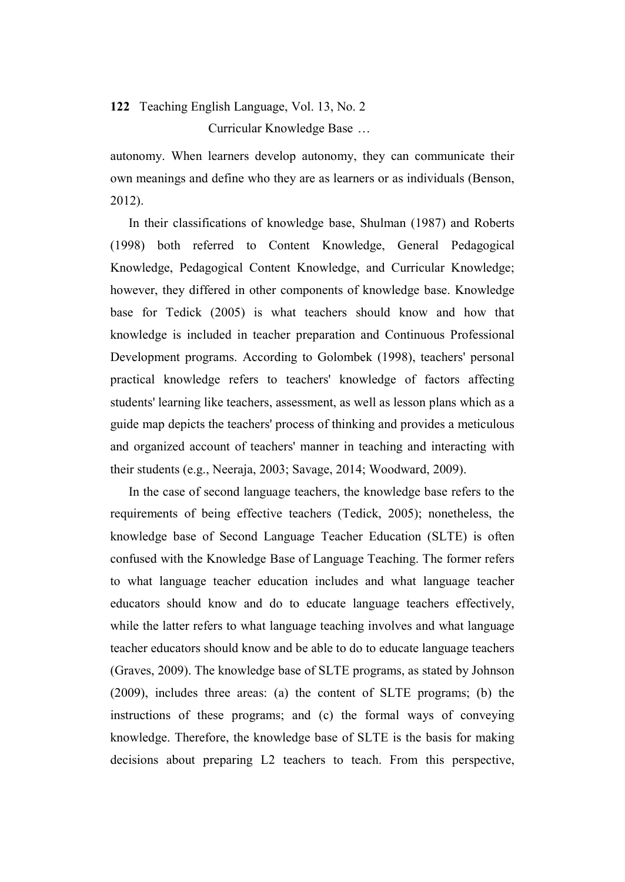Curricular Knowledge Base …

autonomy. When learners develop autonomy, they can communicate their own meanings and define who they are as learners or as individuals (Benson, 2012).

In their classifications of knowledge base, Shulman (1987) and Roberts (1998) both referred to Content Knowledge, General Pedagogical Knowledge, Pedagogical Content Knowledge, and Curricular Knowledge; however, they differed in other components of knowledge base. Knowledge base for Tedick (2005) is what teachers should know and how that knowledge is included in teacher preparation and Continuous Professional Development programs. According to Golombek (1998), teachers' personal practical knowledge refers to teachers' knowledge of factors affecting students' learning like teachers, assessment, as well as lesson plans which as a guide map depicts the teachers' process of thinking and provides a meticulous and organized account of teachers' manner in teaching and interacting with their students (e.g., Neeraja, 2003; Savage, 2014; Woodward, 2009).

In the case of second language teachers, the knowledge base refers to the requirements of being effective teachers (Tedick, 2005); nonetheless, the knowledge base of Second Language Teacher Education (SLTE) is often confused with the Knowledge Base of Language Teaching. The former refers to what language teacher education includes and what language teacher educators should know and do to educate language teachers effectively, while the latter refers to what language teaching involves and what language teacher educators should know and be able to do to educate language teachers (Graves, 2009). The knowledge base of SLTE programs, as stated by Johnson (2009), includes three areas: (a) the content of SLTE programs; (b) the instructions of these programs; and (c) the formal ways of conveying knowledge. Therefore, the knowledge base of SLTE is the basis for making decisions about preparing L2 teachers to teach. From this perspective,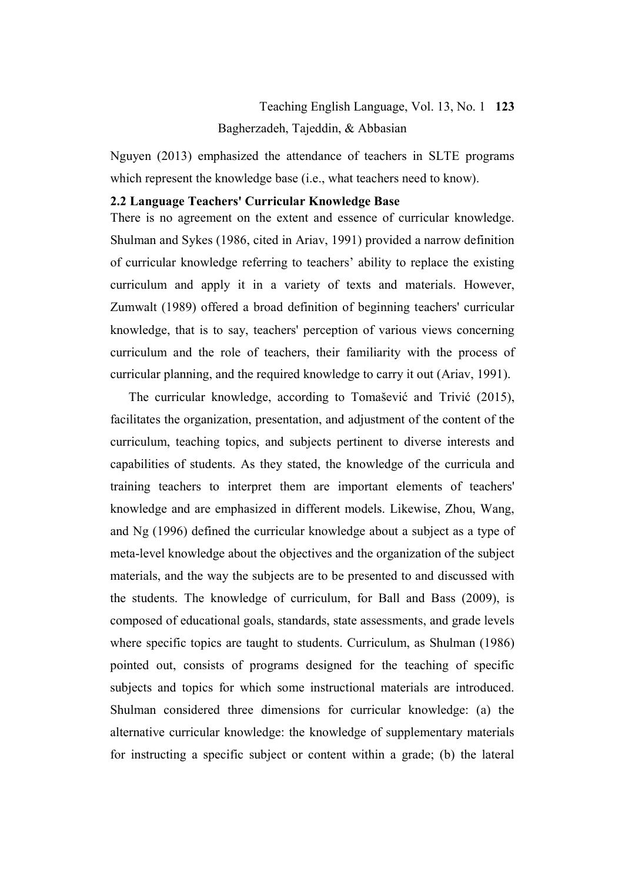# Teaching English Language, Vol. 13, No. 1 **123** Bagherzadeh, Tajeddin, & Abbasian

Nguyen (2013) emphasized the attendance of teachers in SLTE programs which represent the knowledge base (i.e., what teachers need to know).

### **2.2 Language Teachers' Curricular Knowledge Base**

There is no agreement on the extent and essence of curricular knowledge. Shulman and Sykes (1986, cited in Ariav, 1991) provided a narrow definition of curricular knowledge referring to teachers' ability to replace the existing curriculum and apply it in a variety of texts and materials. However, Zumwalt (1989) offered a broad definition of beginning teachers' curricular knowledge, that is to say, teachers' perception of various views concerning curriculum and the role of teachers, their familiarity with the process of curricular planning, and the required knowledge to carry it out (Ariav, 1991).

The curricular knowledge, according to Tomašević and Trivić (2015), facilitates the organization, presentation, and adjustment of the content of the curriculum, teaching topics, and subjects pertinent to diverse interests and capabilities of students. As they stated, the knowledge of the curricula and training teachers to interpret them are important elements of teachers' knowledge and are emphasized in different models. Likewise, Zhou, Wang, and Ng (1996) defined the curricular knowledge about a subject as a type of meta-level knowledge about the objectives and the organization of the subject materials, and the way the subjects are to be presented to and discussed with the students. The knowledge of curriculum, for Ball and Bass (2009), is composed of educational goals, standards, state assessments, and grade levels where specific topics are taught to students. Curriculum, as Shulman (1986) pointed out, consists of programs designed for the teaching of specific subjects and topics for which some instructional materials are introduced. Shulman considered three dimensions for curricular knowledge: (a) the alternative curricular knowledge: the knowledge of supplementary materials for instructing a specific subject or content within a grade; (b) the lateral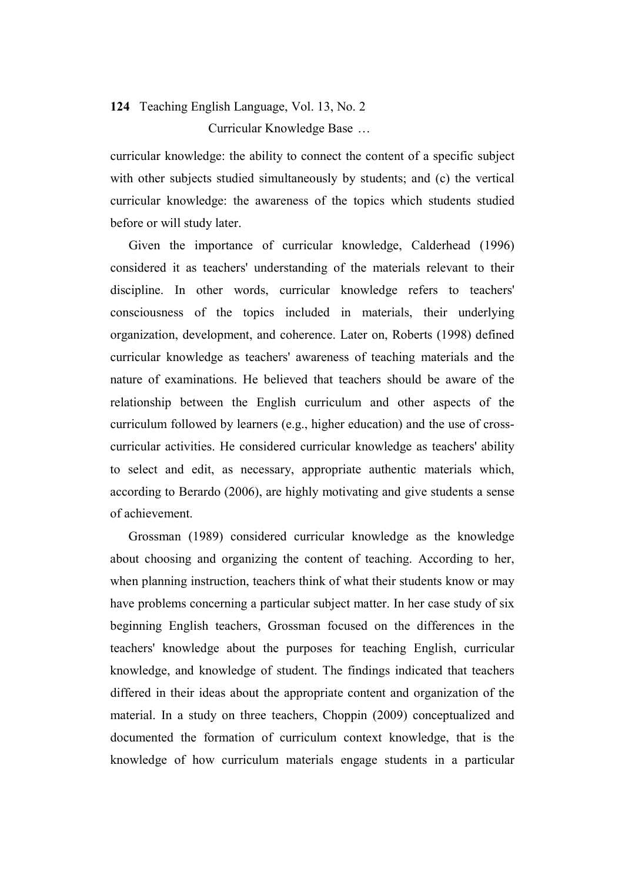Curricular Knowledge Base …

curricular knowledge: the ability to connect the content of a specific subject with other subjects studied simultaneously by students; and (c) the vertical curricular knowledge: the awareness of the topics which students studied before or will study later.

Given the importance of curricular knowledge, Calderhead (1996) considered it as teachers' understanding of the materials relevant to their discipline. In other words, curricular knowledge refers to teachers' [consciousness](https://www.thesaurus.com/browse/consciousness) of the topics included in materials, their underlying organization, development, and coherence. Later on, Roberts (1998) defined curricular knowledge as teachers' awareness of teaching materials and the nature of examinations. He believed that teachers should be aware of the relationship between the English curriculum and other aspects of the curriculum followed by learners (e.g., higher education) and the use of crosscurricular activities. He considered curricular knowledge as teachers' ability to select and edit, as necessary, appropriate authentic materials which, according to [Berardo](https://scholar.google.com/citations?user=yws2J7EAAAAJ&hl=en&oi=sra) (2006), are highly motivating and give students a sense of achievement.

Grossman (1989) considered curricular knowledge as the knowledge about choosing and organizing the content of teaching. According to her, when planning instruction, teachers think of what their students know or may have problems concerning a particular subject matter. In her case study of six beginning English teachers, Grossman focused on the differences in the teachers' knowledge about the purposes for teaching English, curricular knowledge, and knowledge of student. The findings indicated that teachers differed in their ideas about the appropriate content and organization of the material. In a study on three teachers, Choppin (2009) conceptualized and documented the formation of curriculum context knowledge, that is the knowledge of how curriculum materials engage students in a particular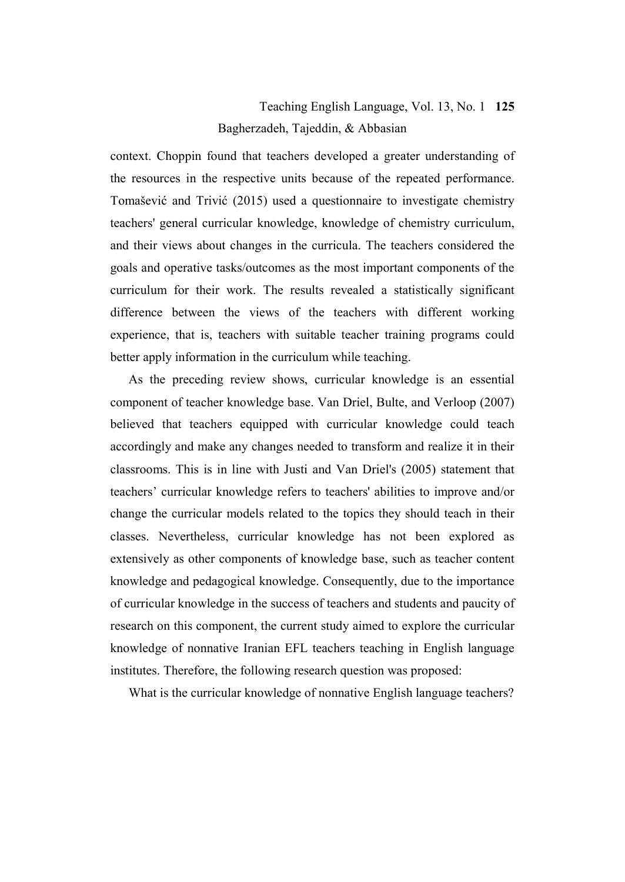# Teaching English Language, Vol. 13, No. 1 **125** Bagherzadeh, Tajeddin, & Abbasian

context. Choppin found that teachers developed a greater understanding of the resources in the respective units because of the repeated performance. Tomašević and Trivić (2015) used a questionnaire to investigate chemistry teachers' general curricular knowledge, knowledge of chemistry curriculum, and their views about changes in the curricula. The teachers considered the goals and operative tasks/outcomes as the most important components of the curriculum for their work. The results revealed a statistically significant difference between the views of the teachers with different working experience, that is, teachers with suitable teacher training programs could better apply information in the curriculum while teaching.

As the preceding review shows, curricular knowledge is an essential component of teacher knowledge base. Van Driel, Bulte, and Verloop (2007) believed that teachers equipped with curricular knowledge could teach accordingly and make any changes needed to transform and realize it in their classrooms. This is in line with Justi and Van Driel's (2005) statement that teachers' curricular knowledge refers to teachers' abilities to improve and/or change the curricular models related to the topics they should teach in their classes. Nevertheless, curricular knowledge has not been explored as extensively as other components of knowledge base, such as teacher content knowledge and pedagogical knowledge. Consequently, due to the importance of curricular knowledge in the success of teachers and students and paucity of research on this component, the current study aimed to explore the curricular knowledge of nonnative Iranian EFL teachers teaching in English language institutes. Therefore, the following research question was proposed:

What is the curricular knowledge of nonnative English language teachers?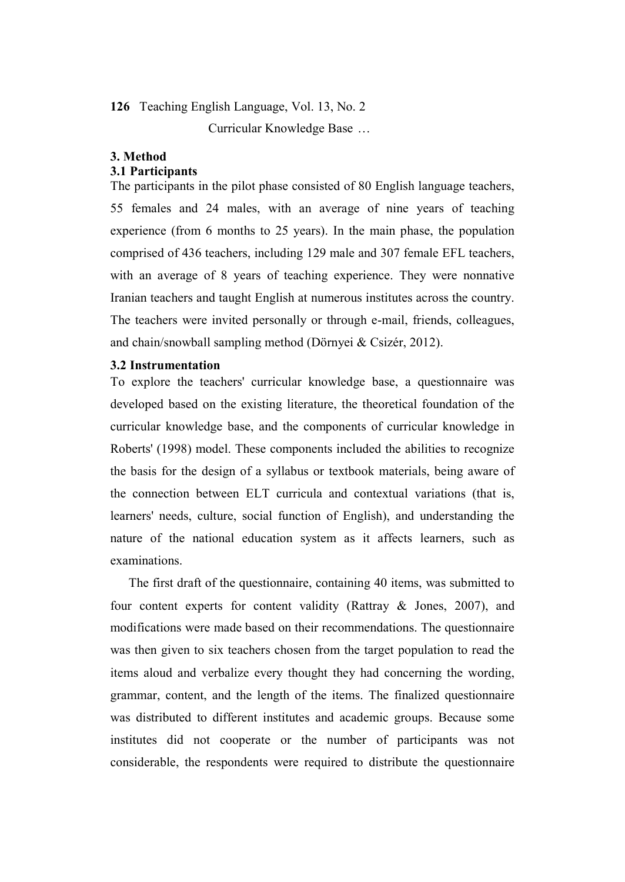Curricular Knowledge Base …

### **3. Method**

### **3.1 Participants**

The participants in the pilot phase consisted of 80 English language teachers, 55 females and 24 males, with an average of nine years of teaching experience (from 6 months to 25 years). In the main phase, the population comprised of 436 teachers, including 129 male and 307 female EFL teachers, with an average of 8 years of teaching experience. They were nonnative Iranian teachers and taught English at numerous institutes across the country. The teachers were invited personally or through e-mail, friends, colleagues, and chain/snowball sampling method (Dörnyei & Csizér, 2012).

### **3.2 Instrumentation**

To explore the teachers' curricular knowledge base, a questionnaire was developed based on the existing literature, the theoretical foundation of the curricular knowledge base, and the components of curricular knowledge in Roberts' (1998) model. These components included the abilities to recognize the basis for the design of a syllabus or textbook materials, being aware of the connection between ELT curricula and contextual variations (that is, learners' needs, culture, social function of English), and understanding the nature of the national education system as it affects learners, such as examinations.

The first draft of the questionnaire, containing 40 items, was submitted to four content experts for content validity (Rattray & Jones, 2007), and modifications were made based on their recommendations. The questionnaire was then given to six teachers chosen from the target population to read the items aloud and verbalize every thought they had concerning the wording, grammar, content, and the length of the items. The finalized questionnaire was distributed to different institutes and academic groups. Because some institutes did not cooperate or the number of participants was not considerable, the respondents were required to distribute the questionnaire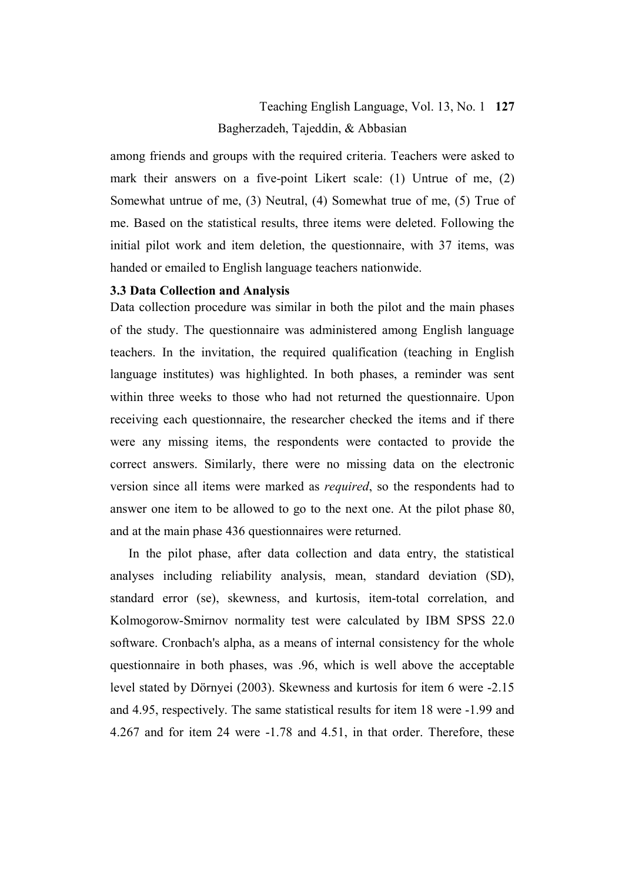# Teaching English Language, Vol. 13, No. 1 **127** Bagherzadeh, Tajeddin, & Abbasian

among friends and groups with the required criteria. Teachers were asked to mark their answers on a five-point Likert scale: (1) Untrue of me, (2) Somewhat untrue of me, (3) Neutral, (4) Somewhat true of me, (5) True of me. Based on the statistical results, three items were deleted. Following the initial pilot work and item deletion, the questionnaire, with 37 items, was handed or emailed to English language teachers nationwide.

### **3.3 Data Collection and Analysis**

Data collection procedure was similar in both the pilot and the main phases of the study. The questionnaire was administered among English language teachers. In the invitation, the required qualification (teaching in English language institutes) was highlighted. In both phases, a reminder was sent within three weeks to those who had not returned the questionnaire. Upon receiving each questionnaire, the researcher checked the items and if there were any missing items, the respondents were contacted to provide the correct answers. Similarly, there were no missing data on the electronic version since all items were marked as *required*, so the respondents had to answer one item to be allowed to go to the next one. At the pilot phase 80, and at the main phase 436 questionnaires were returned.

In the pilot phase, after data collection and data entry, the statistical analyses including reliability analysis, mean, standard deviation (SD), standard error (se), skewness, and kurtosis, item-total correlation, and Kolmogorow-Smirnov normality test were calculated by IBM SPSS 22.0 software. Cronbach's alpha, as a means of internal consistency for the whole questionnaire in both phases, was .96, which is well above the acceptable level stated by Dörnyei (2003). Skewness and kurtosis for item 6 were -2.15 and 4.95, respectively. The same statistical results for item 18 were -1.99 and 4.267 and for item 24 were -1.78 and 4.51, in that order. Therefore, these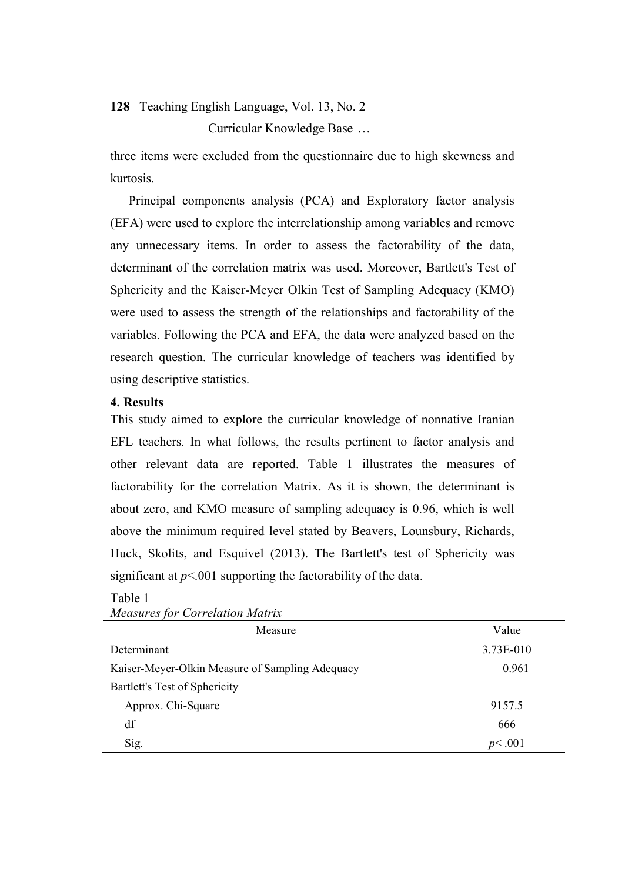Curricular Knowledge Base …

three items were excluded from the questionnaire due to high skewness and kurtosis.

Principal components analysis (PCA) and Exploratory factor analysis (EFA) were used to explore the interrelationship among variables and remove any unnecessary items. In order to assess the factorability of the data, determinant of the correlation matrix was used. Moreover, Bartlett's Test of Sphericity and the Kaiser-Meyer Olkin Test of Sampling Adequacy (KMO) were used to assess the strength of the relationships and factorability of the variables. Following the PCA and EFA, the data were analyzed based on the research question. The curricular knowledge of teachers was identified by using descriptive statistics.

### **4. Results**

This study aimed to explore the curricular knowledge of nonnative Iranian EFL teachers. In what follows, the results pertinent to factor analysis and other relevant data are reported. Table 1 illustrates the measures of factorability for the correlation Matrix. As it is shown, the determinant is about zero, and KMO measure of sampling adequacy is 0.96, which is well above the minimum required level stated by Beavers, Lounsbury, Richards, Huck, Skolits, and Esquivel (2013). The Bartlett's test of Sphericity was significant at  $p<001$  supporting the factorability of the data.

### Table 1 *Measures for Correlation Matrix*

| Measure                                         | Value     |
|-------------------------------------------------|-----------|
| Determinant                                     | 3.73E-010 |
| Kaiser-Meyer-Olkin Measure of Sampling Adequacy | 0.961     |
| Bartlett's Test of Sphericity                   |           |
| Approx. Chi-Square                              | 9157.5    |
| df                                              | 666       |
| Sig.                                            | p<.001    |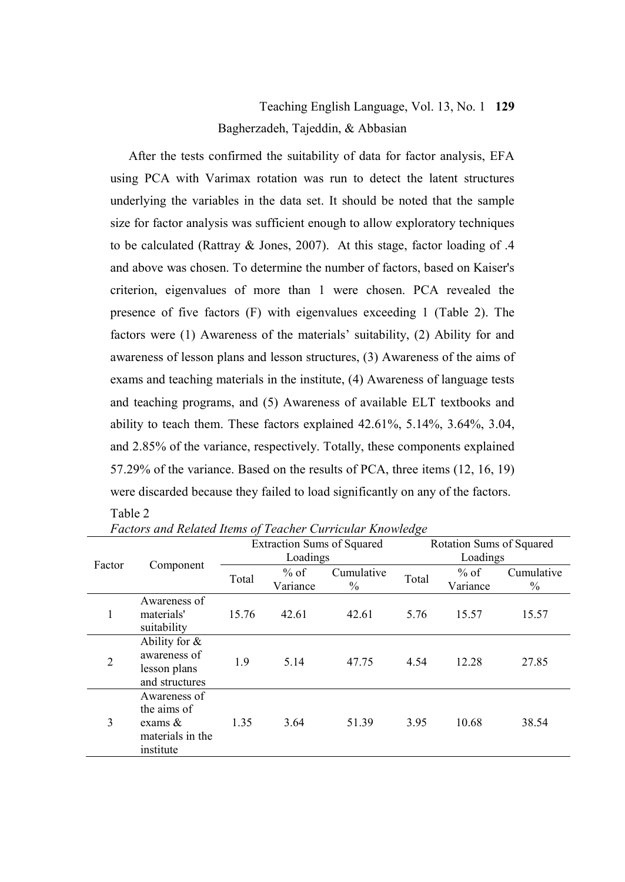# Teaching English Language, Vol. 13, No. 1 **129** Bagherzadeh, Tajeddin, & Abbasian

After the tests confirmed the suitability of data for factor analysis, EFA using PCA with Varimax rotation was run to detect the latent structures underlying the variables in the data set. It should be noted that the sample size for factor analysis was sufficient enough to allow exploratory techniques to be calculated (Rattray & Jones, 2007). At this stage, factor loading of .4 and above was chosen. To determine the number of factors, based on Kaiser's criterion, eigenvalues of more than 1 were chosen. PCA revealed the presence of five factors (F) with eigenvalues exceeding 1 (Table 2). The factors were (1) Awareness of the materials' suitability, (2) Ability for and awareness of lesson plans and lesson structures, (3) Awareness of the aims of exams and teaching materials in the institute, (4) Awareness of language tests and teaching programs, and (5) Awareness of available ELT textbooks and ability to teach them. These factors explained 42.61%, 5.14%, 3.64%, 3.04, and 2.85% of the variance, respectively. Totally, these components explained 57.29% of the variance. Based on the results of PCA, three items (12, 16, 19) were discarded because they failed to load significantly on any of the factors.

## Table 2

|                |                                                                            |       |          | <b>Extraction Sums of Squared</b> | Rotation Sums of Squared |          |            |  |
|----------------|----------------------------------------------------------------------------|-------|----------|-----------------------------------|--------------------------|----------|------------|--|
|                |                                                                            |       | Loadings |                                   | Loadings                 |          |            |  |
| Factor         | Component                                                                  |       | $%$ of   | Cumulative                        |                          | $%$ of   | Cumulative |  |
|                |                                                                            | Total | Variance | $\%$                              | Total                    | Variance | $\%$       |  |
| 1              | Awareness of<br>materials'<br>suitability                                  | 15.76 | 42.61    | 42.61                             | 5.76                     | 15.57    | 15.57      |  |
| $\overline{2}$ | Ability for $\&$<br>awareness of<br>lesson plans<br>and structures         | 1.9   | 5.14     | 47.75                             | 4.54                     | 12.28    | 27.85      |  |
| 3              | Awareness of<br>the aims of<br>exams $\&$<br>materials in the<br>institute | 1.35  | 3.64     | 51.39                             | 3.95                     | 10.68    | 38.54      |  |

*Factors and Related Items of Teacher Curricular Knowledge*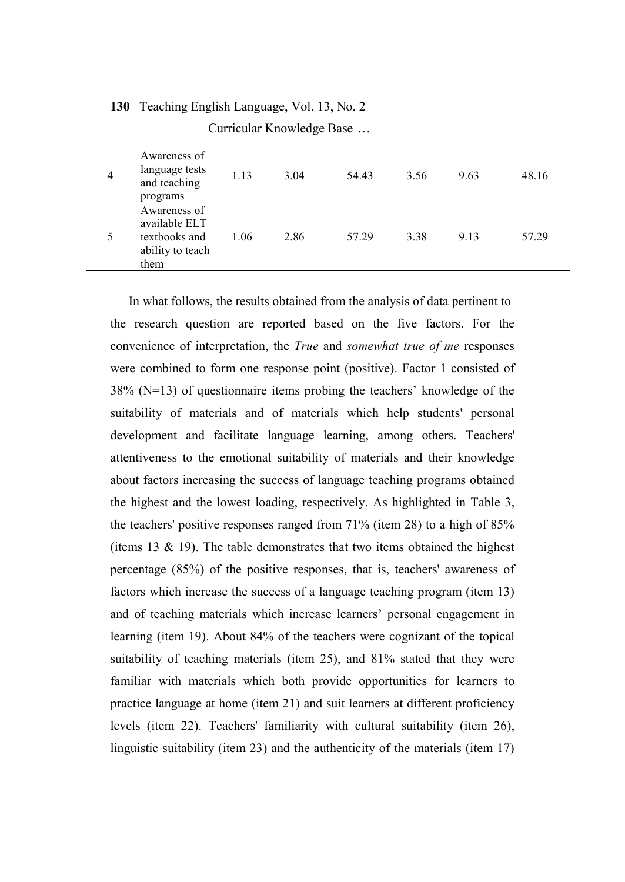| 4 | Awareness of<br>language tests<br>and teaching<br>programs                 | 1.13 | 3.04 | 54.43 | 3.56 | 9.63 | 48.16 |
|---|----------------------------------------------------------------------------|------|------|-------|------|------|-------|
|   | Awareness of<br>available ELT<br>textbooks and<br>ability to teach<br>them | 1.06 | 2.86 | 57.29 | 3.38 | 9.13 | 57.29 |

Curricular Knowledge Base …

In what follows, the results obtained from the analysis of data pertinent to the research question are reported based on the five factors. For the convenience of interpretation, the *True* and *somewhat true of me* responses were combined to form one response point (positive). Factor 1 consisted of 38% (N=13) of questionnaire items probing the teachers' knowledge of the suitability of materials and of materials which help students' personal development and facilitate language learning, among others. Teachers' attentiveness to the emotional suitability of materials and their knowledge about factors increasing the success of language teaching programs obtained the highest and the lowest loading, respectively. As highlighted in Table 3, the teachers' positive responses ranged from 71% (item 28) to a high of 85% (items 13  $\&$  19). The table demonstrates that two items obtained the highest percentage (85%) of the positive responses, that is, teachers' awareness of factors which increase the success of a language teaching program (item 13) and of teaching materials which increase learners' personal engagement in learning (item 19). About 84% of the teachers were cognizant of the topical suitability of teaching materials (item 25), and 81% stated that they were familiar with materials which both provide opportunities for learners to practice language at home (item 21) and suit learners at different proficiency levels (item 22). Teachers' familiarity with cultural suitability (item 26), linguistic suitability (item 23) and the authenticity of the materials (item 17)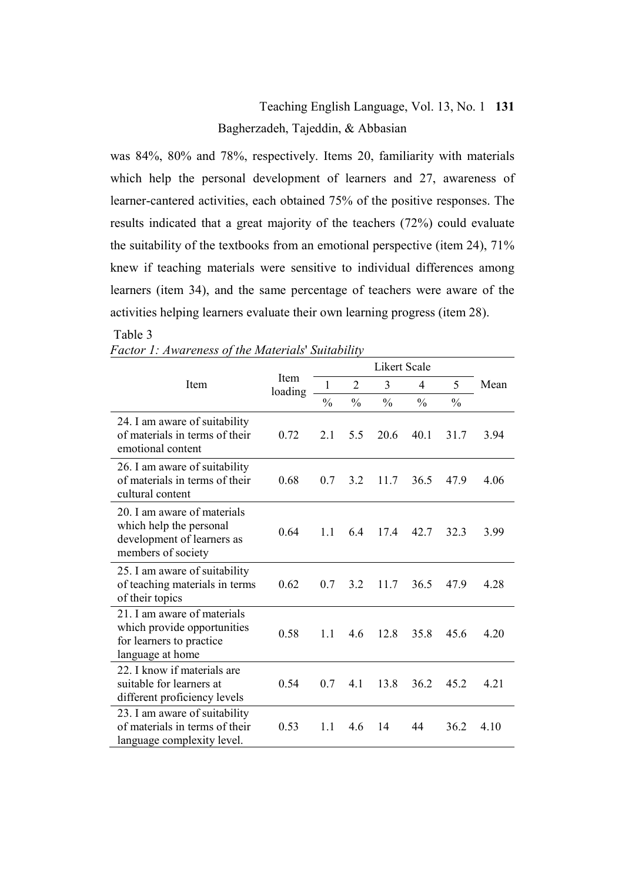# Teaching English Language, Vol. 13, No. 1 **131** Bagherzadeh, Tajeddin, & Abbasian

was 84%, 80% and 78%, respectively. Items 20, familiarity with materials which help the personal development of learners and 27, awareness of learner-cantered activities, each obtained 75% of the positive responses. The results indicated that a great majority of the teachers (72%) could evaluate the suitability of the textbooks from an emotional perspective (item 24), 71% knew if teaching materials were sensitive to individual differences among learners (item 34), and the same percentage of teachers were aware of the activities helping learners evaluate their own learning progress (item 28).

#### Table 3 *Factor 1: Awareness of the Materials*' *Suitability*

|  |  | Pacion 1. Awareness of the materials Suttablity |  |
|--|--|-------------------------------------------------|--|
|  |  |                                                 |  |

|                                                                                                            |                 |               |                |               | <b>Likert Scale</b> |               |      |
|------------------------------------------------------------------------------------------------------------|-----------------|---------------|----------------|---------------|---------------------|---------------|------|
| Item                                                                                                       | Item<br>loading | 1             | $\overline{c}$ | 3             | 4                   | 5             | Mean |
|                                                                                                            |                 | $\frac{0}{0}$ | $\frac{0}{0}$  | $\frac{0}{0}$ | $\frac{0}{0}$       | $\frac{0}{0}$ |      |
| 24. I am aware of suitability<br>of materials in terms of their<br>emotional content                       | 0.72            | 2.1           | 5.5            | 20.6          | 40.1                | 31.7          | 3.94 |
| 26. I am aware of suitability<br>of materials in terms of their<br>cultural content                        | 0.68            | 0.7           | 3.2            | 11.7          | 36.5                | 47.9          | 4.06 |
| 20. I am aware of materials<br>which help the personal<br>development of learners as<br>members of society | 0.64            | 1.1           | 64             | 17.4          | 42.7                | 32.3          | 3.99 |
| 25. I am aware of suitability<br>of teaching materials in terms<br>of their topics                         | 0.62            | 0.7           | 3.2            | 11.7          | 36.5                | 47.9          | 4.28 |
| 21 I am aware of materials<br>which provide opportunities<br>for learners to practice<br>language at home  | 0.58            | 1.1           | 4.6            | 12.8          | 35.8                | 45.6          | 4.20 |
| 22. I know if materials are<br>suitable for learners at<br>different proficiency levels                    | 0.54            | 0.7           | 4.1            | 13.8          | 36.2                | 45.2          | 4.21 |
| 23. I am aware of suitability<br>of materials in terms of their<br>language complexity level.              | 0.53            | 1.1           | 4.6            | 14            | 44                  | 36.2          | 4.10 |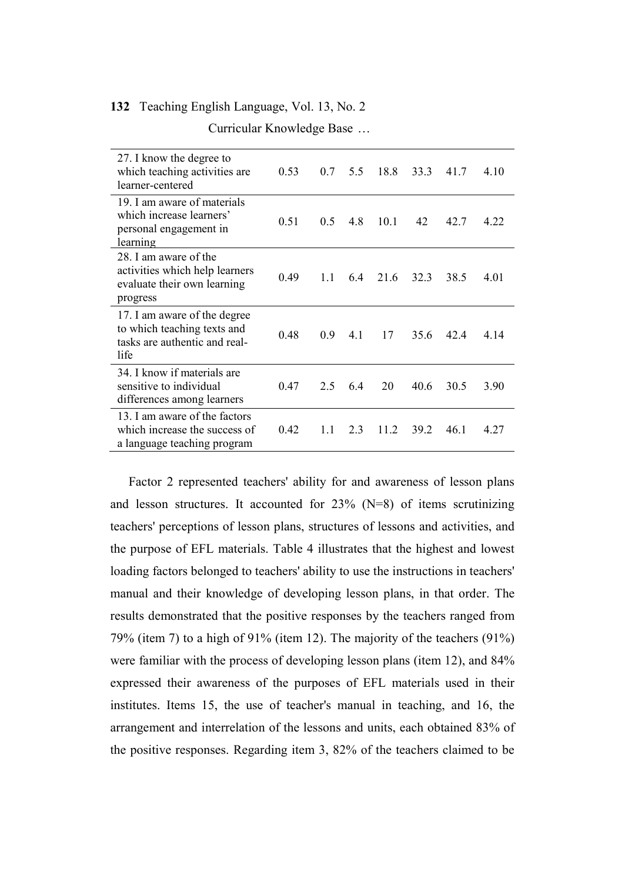|  | Curricular Knowledge Base |  |
|--|---------------------------|--|
|--|---------------------------|--|

| 27. I know the degree to<br>which teaching activities are.<br>learner-centered                       | 0.53 | 0.7 | 5.5 | 18.8 | 33.3 | 41.7 | 4.10 |
|------------------------------------------------------------------------------------------------------|------|-----|-----|------|------|------|------|
| 19. I am aware of materials<br>which increase learners'<br>personal engagement in<br>learning        | 0.51 | 0.5 | 4.8 | 10.1 | 42   | 42.7 | 4 22 |
| 28 I am aware of the<br>activities which help learners<br>evaluate their own learning<br>progress    | 0.49 | 1.1 | 6.4 | 21.6 | 32.3 | 38.5 | 4.01 |
| 17. I am aware of the degree<br>to which teaching texts and<br>tasks are authentic and real-<br>life | 0.48 | 0.9 | 41  | 17   | 35.6 | 42.4 | 4.14 |
| 34. I know if materials are<br>sensitive to individual<br>differences among learners                 | 0.47 | 2.5 | 64  | 20   | 40.6 | 30.5 | 3.90 |
| 13. I am aware of the factors<br>which increase the success of<br>a language teaching program        | 0.42 | 11  | 23  | 11.2 | 39.2 | 46.1 | 4.27 |

Factor 2 represented teachers' ability for and awareness of lesson plans and lesson structures. It accounted for  $23\%$  (N=8) of items scrutinizing teachers' perceptions of lesson plans, structures of lessons and activities, and the purpose of EFL materials. Table 4 illustrates that the highest and lowest loading factors belonged to teachers' ability to use the instructions in teachers' manual and their knowledge of developing lesson plans, in that order. The results demonstrated that the positive responses by the teachers ranged from 79% (item 7) to a high of 91% (item 12). The majority of the teachers (91%) were familiar with the process of developing lesson plans (item 12), and 84% expressed their awareness of the purposes of EFL materials used in their institutes. Items 15, the use of teacher's manual in teaching, and 16, the arrangement and interrelation of the lessons and units, each obtained 83% of the positive responses. Regarding item 3, 82% of the teachers claimed to be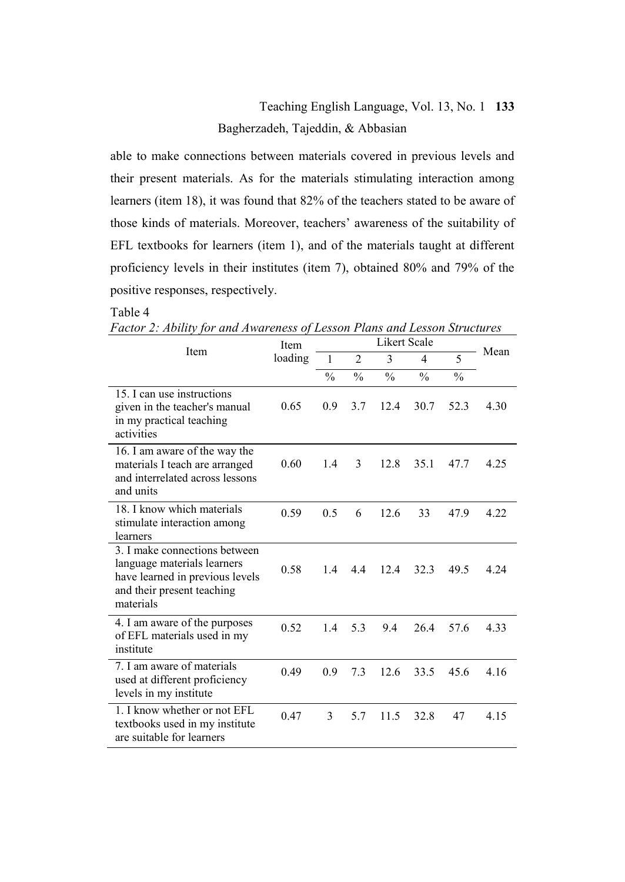# Teaching English Language, Vol. 13, No. 1 **133** Bagherzadeh, Tajeddin, & Abbasian

able to make connections between materials covered in previous levels and their present materials. As for the materials stimulating interaction among learners (item 18), it was found that 82% of the teachers stated to be aware of those kinds of materials. Moreover, teachers' awareness of the suitability of EFL textbooks for learners (item 1), and of the materials taught at different proficiency levels in their institutes (item 7), obtained 80% and 79% of the positive responses, respectively.

### Table 4

*Factor 2: Ability for and Awareness of Lesson Plans and Lesson Structures*

| Item                                                                                                                                       | Item    |               |                | <b>Likert Scale</b> |                |               | Mean |  |
|--------------------------------------------------------------------------------------------------------------------------------------------|---------|---------------|----------------|---------------------|----------------|---------------|------|--|
|                                                                                                                                            | loading | $\mathbf{1}$  | $\overline{2}$ | 3                   | $\overline{4}$ | 5             |      |  |
|                                                                                                                                            |         | $\frac{0}{0}$ | $\frac{0}{0}$  | $\frac{0}{0}$       | $\frac{0}{0}$  | $\frac{0}{0}$ |      |  |
| 15. I can use instructions<br>given in the teacher's manual<br>in my practical teaching<br>activities                                      | 0.65    | 0.9           | 3.7            | 12.4                | 30.7           | 52.3          | 4.30 |  |
| 16. I am aware of the way the<br>materials I teach are arranged<br>and interrelated across lessons<br>and units                            | 0.60    | 1.4           | 3              | 12.8                | 35.1           | 47.7          | 4.25 |  |
| 18. I know which materials<br>stimulate interaction among<br>learners                                                                      | 0.59    | 0.5           | 6              | 12.6                | 33             | 47.9          | 4.22 |  |
| 3. I make connections between<br>language materials learners<br>have learned in previous levels<br>and their present teaching<br>materials | 0.58    | 1.4           | 4.4            | 12.4                | 32.3           | 49.5          | 4.24 |  |
| 4. I am aware of the purposes<br>of EFL materials used in my<br>institute                                                                  | 0.52    | 1.4           | 5.3            | 9.4                 | 26.4           | 57.6          | 4.33 |  |
| 7. I am aware of materials<br>used at different proficiency<br>levels in my institute                                                      | 0.49    | 0.9           | 7.3            | 12.6                | 33.5           | 45.6          | 4.16 |  |
| 1. I know whether or not EFL<br>textbooks used in my institute<br>are suitable for learners                                                | 0.47    | 3             | 5.7            | 11.5                | 32.8           | 47            | 4.15 |  |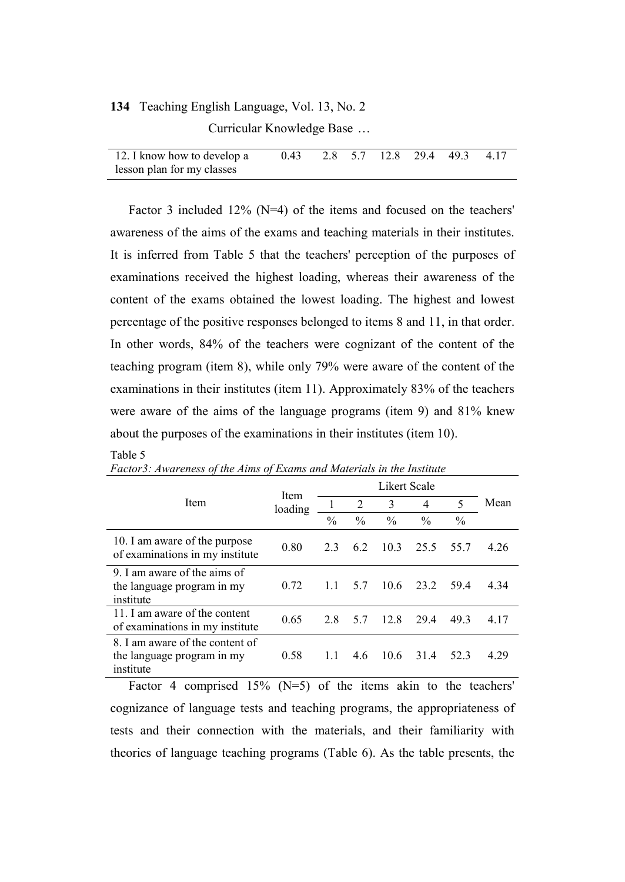Curricular Knowledge Base …

| 12. I know how to develop a | 0.43 2.8 5.7 12.8 29.4 49.3 4.17 |  |  |  |
|-----------------------------|----------------------------------|--|--|--|
| lesson plan for my classes  |                                  |  |  |  |

Factor 3 included 12% (N=4) of the items and focused on the teachers' awareness of the aims of the exams and teaching materials in their institutes. It is inferred from Table 5 that the teachers' perception of the purposes of examinations received the highest loading, whereas their awareness of the content of the exams obtained the lowest loading. The highest and lowest percentage of the positive responses belonged to items 8 and 11, in that order. In other words, 84% of the teachers were cognizant of the content of the teaching program (item 8), while only 79% were aware of the content of the examinations in their institutes (item 11). Approximately 83% of the teachers were aware of the aims of the language programs (item 9) and 81% knew about the purposes of the examinations in their institutes (item 10).

#### Table 5

| Item                                                                       | Item<br>loading |               | 2             | 3             | $\overline{4}$ | 5             | Mean  |
|----------------------------------------------------------------------------|-----------------|---------------|---------------|---------------|----------------|---------------|-------|
|                                                                            |                 | $\frac{0}{0}$ | $\frac{0}{0}$ | $\frac{0}{0}$ | $\frac{0}{0}$  | $\frac{0}{0}$ |       |
| 10. I am aware of the purpose<br>of examinations in my institute           | 0.80            | 23            | 62            | 10.3          | 25.5           | 55.7          | 4.26  |
| 9. I am aware of the aims of<br>the language program in my<br>institute    | 0.72            | 1.1           | 5.7           | 10.6          | 23.2           | 594           | 4.34  |
| 11. I am aware of the content<br>of examinations in my institute           | 0.65            | 2.8           | 57            | 12.8          | 29.4           | 49.3          | 4 1 7 |
| 8. I am aware of the content of<br>the language program in my<br>institute | 0.58            | 1.1           | 4.6           | 10.6          | 31.4           | 52.3          | 4.29  |

*Factor3: Awareness of the Aims of Exams and Materials in the Institute*

Factor 4 comprised  $15\%$  (N=5) of the items akin to the teachers' cognizance of language tests and teaching programs, the appropriateness of tests and their connection with the materials, and their familiarity with theories of language teaching programs (Table 6). As the table presents, the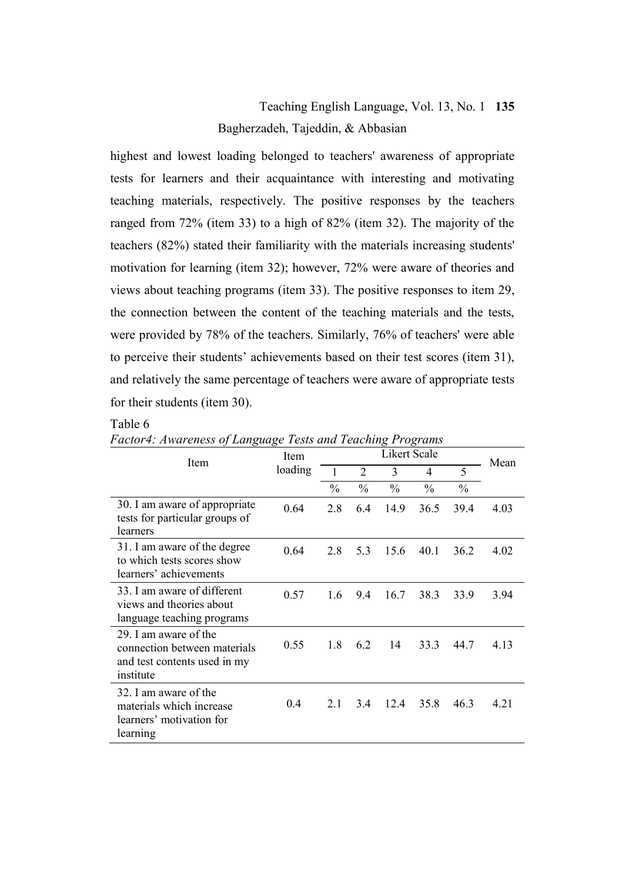# Teaching English Language, Vol. 13, No. 1 **135** Bagherzadeh, Tajeddin, & Abbasian

highest and lowest loading belonged to teachers' awareness of appropriate tests for learners and their acquaintance with interesting and motivating teaching materials, respectively. The positive responses by the teachers ranged from 72% (item 33) to a high of 82% (item 32). The majority of the teachers (82%) stated their familiarity with the materials increasing students' motivation for learning (item 32); however, 72% were aware of theories and views about teaching programs (item 33). The positive responses to item 29, the connection between the content of the teaching materials and the tests, were provided by 78% of the teachers. Similarly, 76% of teachers' were able to perceive their students' achievements based on their test scores (item 31), and relatively the same percentage of teachers were aware of appropriate tests for their students (item 30).

### Table 6

| Item                                                                                               | Item    |               | Mean           |               |               |               |       |
|----------------------------------------------------------------------------------------------------|---------|---------------|----------------|---------------|---------------|---------------|-------|
|                                                                                                    | loading | 1             | $\mathfrak{D}$ | 3             | 4             | 5             |       |
|                                                                                                    |         | $\frac{0}{0}$ | $\frac{0}{0}$  | $\frac{0}{0}$ | $\frac{0}{0}$ | $\frac{0}{0}$ |       |
| 30. I am aware of appropriate<br>tests for particular groups of<br>learners                        | 0.64    | 2.8           | 6.4            | 14.9          | 36.5          | 39.4          | 4.03  |
| 31. I am aware of the degree<br>to which tests scores show<br>learners' achievements               | 0.64    | 2.8           | 5.3            | 15.6          | 40.1          | 36.2          | 4.02  |
| 33. I am aware of different<br>views and theories about<br>language teaching programs              | 0.57    | 1.6           | 9.4            | 16.7          | 38.3          | 33.9          | 3.94  |
| 29. I am aware of the<br>connection between materials<br>and test contents used in my<br>institute | 0.55    | 1.8           | 6.2            | 14            | 33.3          | 44.7          | 4.13  |
| 32. I am aware of the<br>materials which increase<br>learners' motivation for<br>learning          | 0.4     | 2.1           | 3.4            | 12.4          | 35.8          | 46.3          | 4 2 1 |

*Factor4: Awareness of Language Tests and Teaching Programs*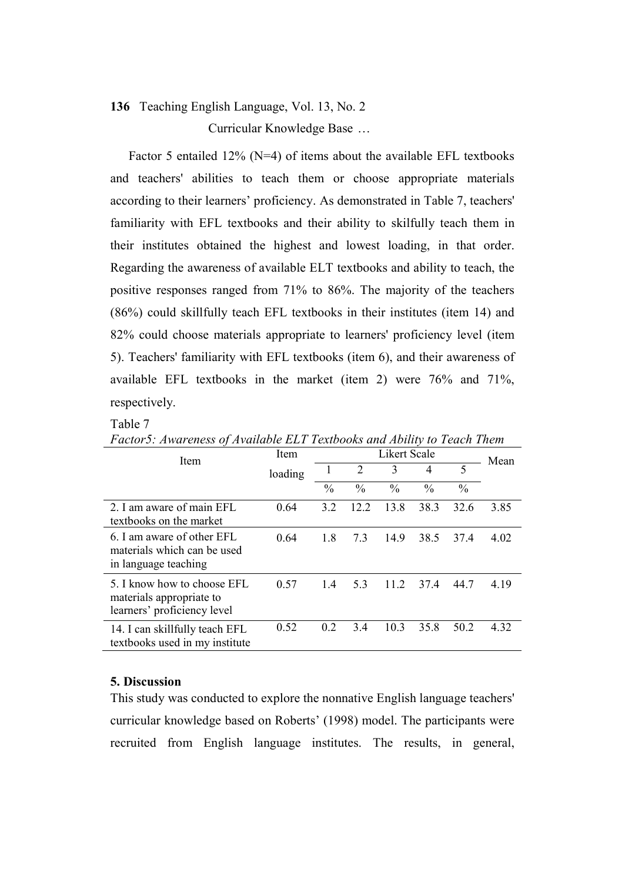Curricular Knowledge Base …

Factor 5 entailed 12% (N=4) of items about the available EFL textbooks and teachers' abilities to teach them or choose appropriate materials according to their learners' proficiency. As demonstrated in Table 7, teachers' familiarity with EFL textbooks and their ability to skilfully teach them in their institutes obtained the highest and lowest loading, in that order. Regarding the awareness of available ELT textbooks and ability to teach, the positive responses ranged from 71% to 86%. The majority of the teachers (86%) could skillfully teach EFL textbooks in their institutes (item 14) and 82% could choose materials appropriate to learners' proficiency level (item 5). Teachers' familiarity with EFL textbooks (item 6), and their awareness of available EFL textbooks in the market (item 2) were 76% and 71%, respectively.

### Table 7

| Item                                                                                   | Item    |               |                | Likert Scale  |               |               | Mean |
|----------------------------------------------------------------------------------------|---------|---------------|----------------|---------------|---------------|---------------|------|
|                                                                                        | loading |               | $\overline{c}$ | 3             | 4             | 5             |      |
|                                                                                        |         | $\frac{0}{0}$ | $\frac{0}{0}$  | $\frac{0}{0}$ | $\frac{0}{0}$ | $\frac{0}{0}$ |      |
| 2. I am aware of main EFL<br>textbooks on the market                                   | 0.64    | 3.2           | 12.2           | 13.8          | 38.3          | 32.6          | 3.85 |
| 6. I am aware of other EFL<br>materials which can be used<br>in language teaching      | 0.64    | 1.8           | 73             | 14.9          | 38.5          | 374           | 4.02 |
| 5. I know how to choose EFL<br>materials appropriate to<br>learners' proficiency level | 0.57    | 14            | 5.3            | 11.2          | 37.4          | 44.7          | 4.19 |
| 14. I can skillfully teach EFL<br>textbooks used in my institute                       | 0.52    | 0.2           | 3.4            | 10.3          | 35.8          | 50.2          | 4.32 |

*Factor5: Awareness of Available ELT Textbooks and Ability to Teach Them*

### **5. Discussion**

This study was conducted to explore the nonnative English language teachers' curricular knowledge based on Roberts' (1998) model. The participants were recruited from English language institutes. The results, in general,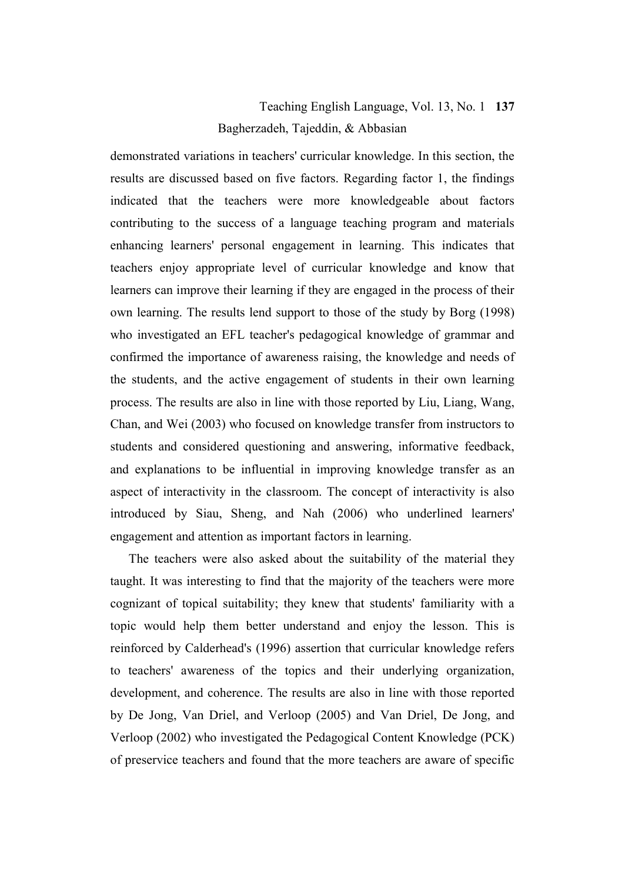# Teaching English Language, Vol. 13, No. 1 **137** Bagherzadeh, Tajeddin, & Abbasian

demonstrated variations in teachers' curricular knowledge. In this section, the results are discussed based on five factors. Regarding factor 1, the findings indicated that the teachers were more knowledgeable about factors contributing to the success of a language teaching program and materials enhancing learners' personal engagement in learning. This indicates that teachers enjoy appropriate level of curricular knowledge and know that learners can improve their learning if they are engaged in the process of their own learning. The results lend support to those of the study by Borg (1998) who investigated an EFL teacher's pedagogical knowledge of grammar and confirmed the importance of awareness raising, the knowledge and needs of the students, and the active engagement of students in their own learning process. The results are also in line with those reported by Liu, Liang, Wang, Chan, and Wei (2003) who focused on knowledge transfer from instructors to students and considered questioning and answering, informative feedback, and explanations to be influential in improving knowledge transfer as an aspect of interactivity in the classroom. The concept of interactivity is also introduced by Siau, Sheng, and Nah (2006) who underlined learners' engagement and attention as important factors in learning.

The teachers were also asked about the suitability of the material they taught. It was interesting to find that the majority of the teachers were more cognizant of topical suitability; they knew that students' familiarity with a topic would help them better understand and enjoy the lesson. This is reinforced by Calderhead's (1996) assertion that curricular knowledge refers to teachers' awareness of the topics and their underlying organization, development, and coherence. The results are also in line with those reported by De Jong, Van Driel, and Verloop (2005) and Van Driel, De Jong, and Verloop (2002) who investigated the Pedagogical Content Knowledge (PCK) of preservice teachers and found that the more teachers are aware of specific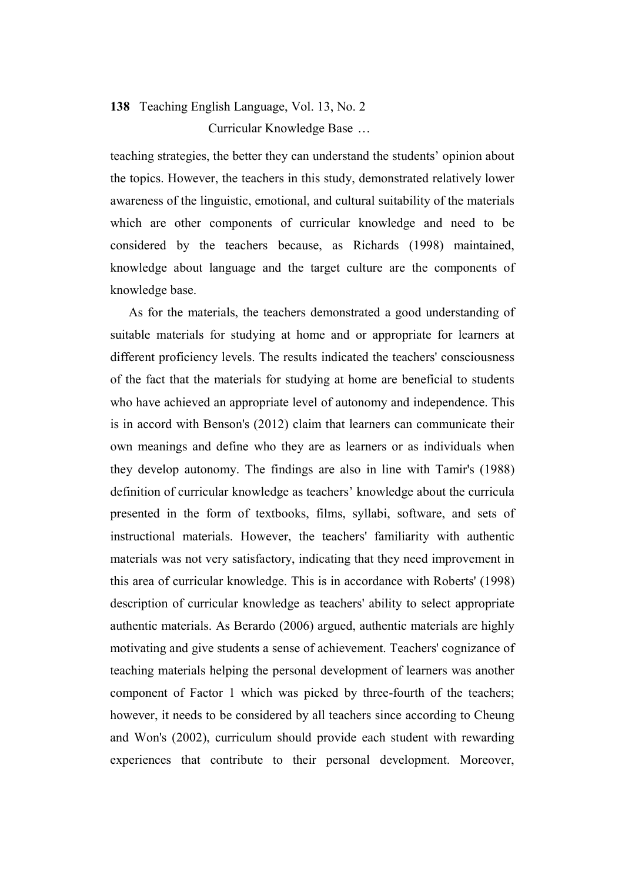# **138** Teaching English Language, Vol. 13, No. 2 Curricular Knowledge Base …

teaching strategies, the better they can understand the students' opinion about the topics. However, the teachers in this study, demonstrated relatively lower awareness of the linguistic, emotional, and cultural suitability of the materials which are other components of curricular knowledge and need to be considered by the teachers because, as Richards (1998) maintained, knowledge about language and the target culture are the components of knowledge base.

As for the materials, the teachers demonstrated a good understanding of suitable materials for studying at home and or appropriate for learners at different proficiency levels. The results indicated the teachers' consciousness of the fact that the materials for studying at home are beneficial to students who have achieved an appropriate level of autonomy and independence. This is in accord with Benson's (2012) claim that learners can communicate their own meanings and define who they are as learners or as individuals when they develop autonomy. The findings are also in line with Tamir's (1988) definition of curricular knowledge as teachers' knowledge about the curricula presented in the form of textbooks, films, syllabi, software, and sets of instructional materials. However, the teachers' familiarity with authentic materials was not very satisfactory, indicating that they need improvement in this area of curricular knowledge. This is in accordance with Roberts' (1998) description of curricular knowledge as teachers' ability to select appropriate authentic materials. As [Berardo](https://scholar.google.com/citations?user=yws2J7EAAAAJ&hl=en&oi=sra) (2006) argued, authentic materials are highly motivating and give students a sense of achievement. Teachers' cognizance of teaching materials helping the personal development of learners was another component of Factor 1 which was picked by three-fourth of the teachers; however, it needs to be considered by all teachers since according to Cheung and Won's (2002), curriculum should provide each student with rewarding experiences that contribute to their personal development. Moreover,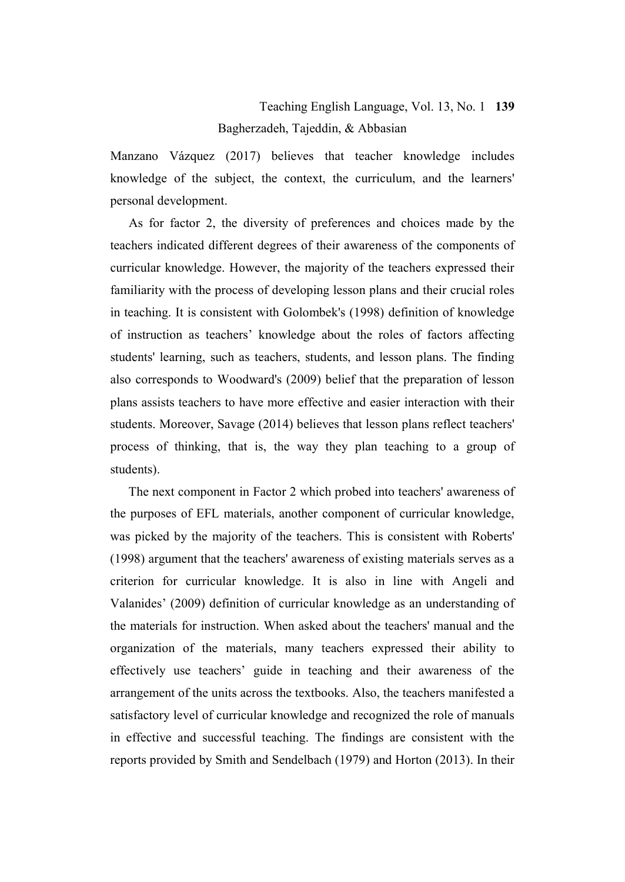# Teaching English Language, Vol. 13, No. 1 **139** Bagherzadeh, Tajeddin, & Abbasian

Manzano Vázquez (2017) believes that teacher knowledge includes knowledge of the subject, the context, the curriculum, and the learners' personal development.

As for factor 2, the diversity of preferences and choices made by the teachers indicated different degrees of their awareness of the components of curricular knowledge. However, the majority of the teachers expressed their familiarity with the process of developing lesson plans and their crucial roles in teaching. It is consistent with Golombek's (1998) definition of knowledge of instruction as teachers' knowledge about the roles of factors affecting students' learning, such as teachers, students, and lesson plans. The finding also corresponds to Woodward's (2009) belief that the preparation of lesson plans assists teachers to have more effective and easier interaction with their students. Moreover, Savage (2014) believes that lesson plans reflect teachers' process of thinking, that is, the way they plan teaching to a group of students).

The next component in Factor 2 which probed into teachers' awareness of the purposes of EFL materials, another component of curricular knowledge, was picked by the majority of the teachers. This is consistent with Roberts' (1998) argument that the teachers' awareness of existing materials serves as a criterion for curricular knowledge. It is also in line with Angeli and Valanides' (2009) definition of curricular knowledge as an understanding of the materials for instruction. When asked about the teachers' manual and the organization of the materials, many teachers expressed their ability to effectively use teachers' guide in teaching and their awareness of the arrangement of the units across the textbooks. Also, the teachers manifested a satisfactory level of curricular knowledge and recognized the role of manuals in effective and successful teaching. The findings are consistent with the reports provided by Smith and Sendelbach (1979) and Horton (2013). In their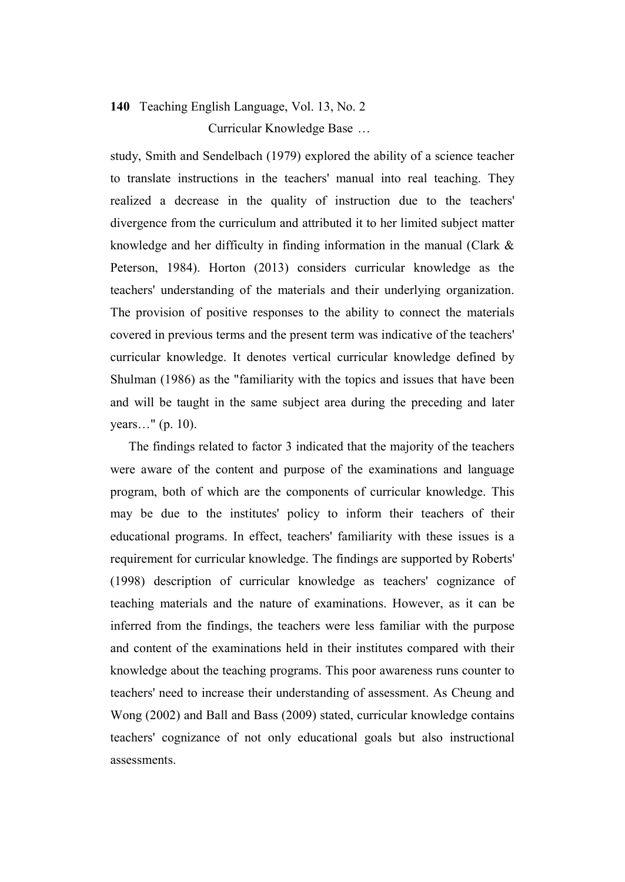# **140** Teaching English Language, Vol. 13, No. 2 Curricular Knowledge Base …

study, Smith and Sendelbach (1979) explored the ability of a science teacher to translate instructions in the teachers' manual into real teaching. They realized a decrease in the quality of instruction due to the teachers' divergence from the curriculum and attributed it to her limited subject matter knowledge and her difficulty in finding information in the manual (Clark & Peterson, 1984). Horton (2013) considers curricular knowledge as the teachers' understanding of the materials and their underlying organization. The provision of positive responses to the ability to connect the materials covered in previous terms and the present term was indicative of the teachers' curricular knowledge. It denotes vertical curricular knowledge defined by Shulman (1986) as the "familiarity with the topics and issues that have been and will be taught in the same subject area during the preceding and later years…" (p. 10).

The findings related to factor 3 indicated that the majority of the teachers were aware of the content and purpose of the examinations and language program, both of which are the components of curricular knowledge. This may be due to the institutes' policy to inform their teachers of their educational programs. In effect, teachers' familiarity with these issues is a requirement for curricular knowledge. The findings are supported by Roberts' (1998) description of curricular knowledge as teachers' cognizance of teaching materials and the nature of examinations. However, as it can be inferred from the findings, the teachers were less familiar with the purpose and content of the examinations held in their institutes compared with their knowledge about the teaching programs. This poor awareness runs counter to teachers' need to increase their understanding of assessment. As Cheung and Wong (2002) and Ball and Bass (2009) stated, curricular knowledge contains teachers' cognizance of not only educational goals but also instructional assessments.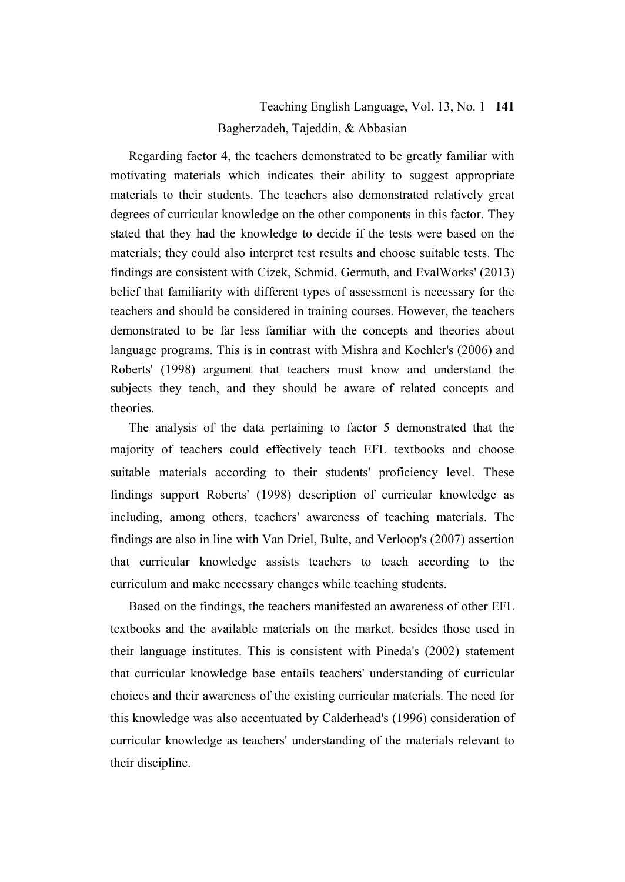# Teaching English Language, Vol. 13, No. 1 **141** Bagherzadeh, Tajeddin, & Abbasian

Regarding factor 4, the teachers demonstrated to be greatly familiar with motivating materials which indicates their ability to suggest appropriate materials to their students. The teachers also demonstrated relatively great degrees of curricular knowledge on the other components in this factor. They stated that they had the knowledge to decide if the tests were based on the materials; they could also interpret test results and choose suitable tests. The findings are consistent with Cizek, Schmid, Germuth, and EvalWorks' (2013) belief that familiarity with different types of assessment is necessary for the teachers and should be considered in training courses. However, the teachers demonstrated to be far less familiar with the concepts and theories about language programs. This is in contrast with Mishra and Koehler's (2006) and Roberts' (1998) argument that teachers must know and understand the subjects they teach, and they should be aware of related concepts and theories.

The analysis of the data pertaining to factor 5 demonstrated that the majority of teachers could effectively teach EFL textbooks and choose suitable materials according to their students' proficiency level. These findings support Roberts' (1998) description of curricular knowledge as including, among others, teachers' awareness of teaching materials. The findings are also in line with Van Driel, Bulte, and Verloop's (2007) assertion that curricular knowledge assists teachers to teach according to the curriculum and make necessary changes while teaching students.

Based on the findings, the teachers manifested an awareness of other EFL textbooks and the available materials on the market, besides those used in their language institutes. This is consistent with Pineda's (2002) statement that curricular knowledge base entails teachers' understanding of curricular choices and their awareness of the existing curricular materials. The need for this knowledge was also accentuated by Calderhead's (1996) consideration of curricular knowledge as teachers' understanding of the materials relevant to their discipline.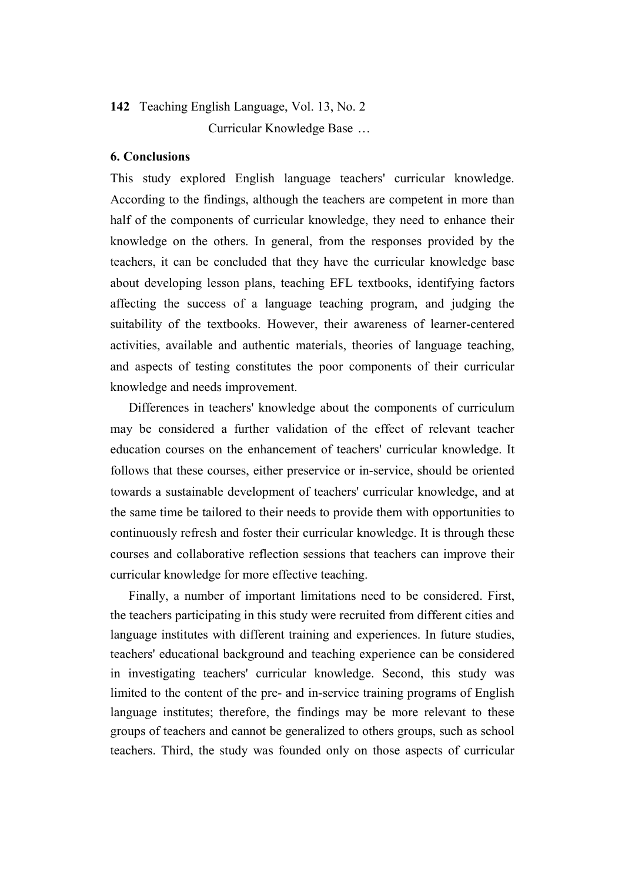# **142** Teaching English Language, Vol. 13, No. 2 Curricular Knowledge Base …

### **6. Conclusions**

This study explored English language teachers' curricular knowledge. According to the findings, although the teachers are competent in more than half of the components of curricular knowledge, they need to enhance their knowledge on the others. In general, from the responses provided by the teachers, it can be concluded that they have the curricular knowledge base about developing lesson plans, teaching EFL textbooks, identifying factors affecting the success of a language teaching program, and judging the suitability of the textbooks. However, their awareness of learner-centered activities, available and authentic materials, theories of language teaching, and aspects of testing constitutes the poor components of their curricular knowledge and needs improvement.

Differences in teachers' knowledge about the components of curriculum may be considered a further validation of the effect of relevant teacher education courses on the enhancement of teachers' curricular knowledge. It follows that these courses, either preservice or in-service, should be oriented towards a sustainable development of teachers' curricular knowledge, and at the same time be tailored to their needs to provide them with opportunities to continuously refresh and foster their curricular knowledge. It is through these courses and collaborative reflection sessions that teachers can improve their curricular knowledge for more effective teaching.

Finally, a number of important limitations need to be considered. First, the teachers participating in this study were recruited from different cities and language institutes with different training and experiences. In future studies, teachers' educational background and teaching experience can be considered in investigating teachers' curricular knowledge. Second, this study was limited to the content of the pre- and in-service training programs of English language institutes; therefore, the findings may be more relevant to these groups of teachers and cannot be generalized to others groups, such as school teachers. Third, the study was founded only on those aspects of curricular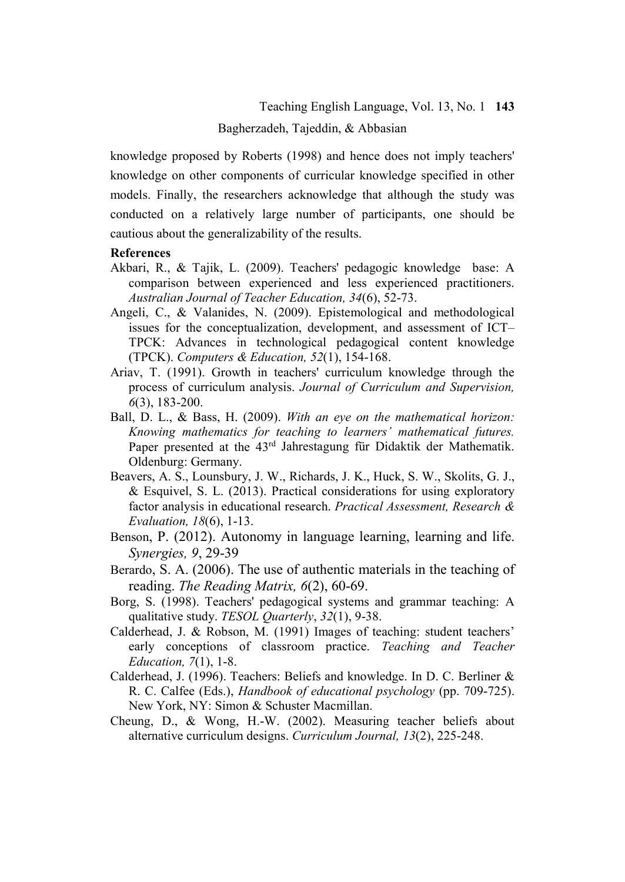knowledge proposed by Roberts (1998) and hence does not imply teachers' knowledge on other components of curricular knowledge specified in other models. Finally, the researchers acknowledge that although the study was conducted on a relatively large number of participants, one should be cautious about the generalizability of the results.

### **References**

- Akbari, R., & Tajik, L. (2009). Teachers' pedagogic knowledge base: A comparison between experienced and less experienced practitioners. *Australian Journal of Teacher Education, 34*(6), 52-73.
- Angeli, C., & Valanides, N. (2009). Epistemological and methodological issues for the conceptualization, development, and assessment of ICT– TPCK: Advances in technological pedagogical content knowledge (TPCK). *Computers & Education, 52*(1), 154-168.
- Ariav, T. (1991). Growth in teachers' curriculum knowledge through the process of curriculum analysis. *Journal of Curriculum and Supervision, 6*(3), 183-200.
- Ball, D. L., & Bass, H. (2009). *With an eye on the mathematical horizon: Knowing mathematics for teaching to learners' mathematical futures.* Paper presented at the 43<sup>rd</sup> Jahrestagung für Didaktik der Mathematik. Oldenburg: Germany.
- Beavers, A. S., Lounsbury, J. W., Richards, J. K., Huck, S. W., Skolits, G. J., & Esquivel, S. L. (2013). Practical considerations for using exploratory factor analysis in educational research. *Practical Assessment, Research & Evaluation, 18*(6), 1-13.
- Benson, P. (2012). Autonomy in language learning, learning and life. *Synergies, 9*, 29-39
- Berardo, S. A. (2006). The use of authentic materials in the teaching of reading. *The Reading Matrix, 6*(2), 60-69.
- Borg, S. (1998). Teachers' pedagogical systems and grammar teaching: A qualitative study. *TESOL Quarterly*, *32*(1), 9-38.
- Calderhead, J. & Robson, M. (1991) Images of teaching: student teachers' early conceptions of classroom practice. *Teaching and Teacher Education, 7*(1), 1-8.
- Calderhead, J. (1996). Teachers: Beliefs and knowledge. In D. C. Berliner & R. C. Calfee (Eds.), *Handbook of educational psychology* (pp. 709-725). New York, NY: Simon & Schuster Macmillan.
- Cheung, D., & Wong, H.-W. (2002). Measuring teacher beliefs about alternative curriculum designs. *Curriculum Journal, 13*(2), 225-248.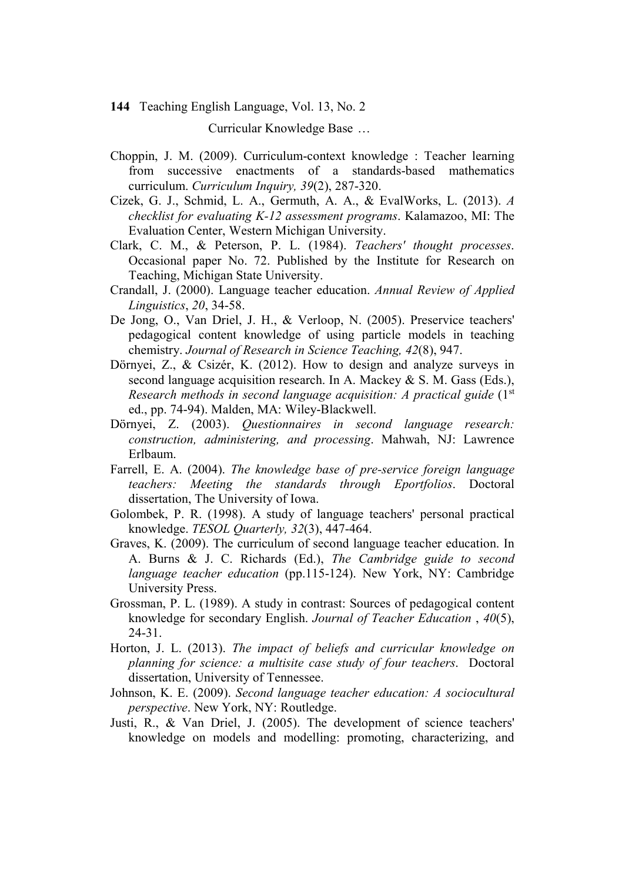Curricular Knowledge Base …

- Choppin, J. M. (2009). Curriculum-context knowledge : Teacher learning from successive enactments of a standards-based mathematics curriculum. *Curriculum Inquiry, 39*(2), 287-320.
- Cizek, G. J., Schmid, L. A., Germuth, A. A., & EvalWorks, L. (2013). *A checklist for evaluating K-12 assessment programs*. Kalamazoo, MI: The Evaluation Center, Western Michigan University.
- Clark, C. M., & Peterson, P. L. (1984). *Teachers' thought processes*. Occasional paper No. 72. Published by the Institute for Research on Teaching, Michigan State University.
- Crandall, J. (2000). Language teacher education. *Annual Review of Applied Linguistics*, *20*, 34-58.
- De Jong, O., Van Driel, J. H., & Verloop, N. (2005). Preservice teachers' pedagogical content knowledge of using particle models in teaching chemistry. *Journal of Research in Science Teaching, 42*(8), 947.
- Dörnyei, Z., & Csizér, K. (2012). How to design and analyze surveys in second language acquisition research. In A. Mackey & S. M. Gass (Eds.), *Research methods in second language acquisition: A practical guide* (1<sup>st</sup>) ed., pp. 74-94). Malden, MA: Wiley-Blackwell.
- Dörnyei, Z. (2003). *Questionnaires in second language research: construction, administering, and processing*. Mahwah, NJ: Lawrence Erlbaum.
- Farrell, E. A. (2004). *The knowledge base of pre-service foreign language teachers: Meeting the standards through Eportfolios*. Doctoral dissertation, The University of Iowa.
- Golombek, P. R. (1998). A study of language teachers' personal practical knowledge. *TESOL Quarterly, 32*(3), 447-464.
- Graves, K. (2009). The curriculum of second language teacher education. In A. Burns & J. C. Richards (Ed.), *The Cambridge guide to second language teacher education* (pp.115-124). New York, NY: Cambridge University Press.
- Grossman, P. L. (1989). A study in contrast: Sources of pedagogical content knowledge for secondary English. *Journal of Teacher Education* , *40*(5), 24-31.
- Horton, J. L. (2013). *The impact of beliefs and curricular knowledge on planning for science: a multisite case study of four teachers*. Doctoral dissertation, University of Tennessee.
- Johnson, K. E. (2009). *Second language teacher education: A sociocultural perspective*. New York, NY: Routledge.
- Justi, R., & Van Driel, J. (2005). The development of science teachers' knowledge on models and modelling: promoting, characterizing, and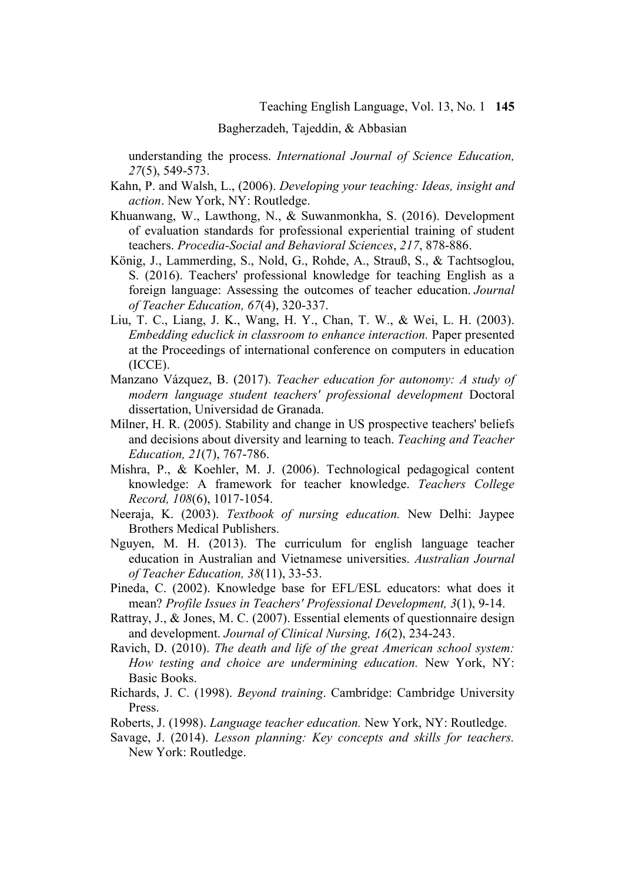### Bagherzadeh, Tajeddin, & Abbasian

understanding the process. *International Journal of Science Education, 27*(5), 549-573.

- Kahn, P. and Walsh, L., (2006). *Developing your teaching: Ideas, insight and action*. New York, NY: Routledge.
- Khuanwang, W., Lawthong, N., & Suwanmonkha, S. (2016). Development of evaluation standards for professional experiential training of student teachers. *Procedia-Social and Behavioral Sciences*, *217*, 878-886.
- König, J., Lammerding, S., Nold, G., Rohde, A., Strauß, S., & Tachtsoglou, S. (2016). Teachers' professional knowledge for teaching English as a foreign language: Assessing the outcomes of teacher education. *Journal of Teacher Education, 67*(4), 320-337.
- Liu, T. C., Liang, J. K., Wang, H. Y., Chan, T. W., & Wei, L. H. (2003). *Embedding educlick in classroom to enhance interaction.* Paper presented at the Proceedings of international conference on computers in education (ICCE).
- Manzano Vázquez, B. (2017). *Teacher education for autonomy: A study of modern language student teachers' professional development* Doctoral dissertation, Universidad de Granada.
- Milner, H. R. (2005). Stability and change in US prospective teachers' beliefs and decisions about diversity and learning to teach. *Teaching and Teacher Education, 21*(7), 767-786.
- Mishra, P., & Koehler, M. J. (2006). Technological pedagogical content knowledge: A framework for teacher knowledge. *Teachers College Record, 108*(6), 1017-1054.
- Neeraja, K. (2003). *Textbook of nursing education.* New Delhi: Jaypee Brothers Medical Publishers.
- Nguyen, M. H. (2013). The curriculum for english language teacher education in Australian and Vietnamese universities. *Australian Journal of Teacher Education, 38*(11), 33-53.
- Pineda, C. (2002). Knowledge base for EFL/ESL educators: what does it mean? *Profile Issues in Teachers' Professional Development, 3*(1), 9-14.
- Rattray, J., & Jones, M. C. (2007). Essential elements of questionnaire design and development. *Journal of Clinical Nursing, 16*(2), 234-243.
- Ravich, D. (2010). *The death and life of the great American school system: How testing and choice are undermining education.* New York, NY: Basic Books.
- Richards, J. C. (1998). *Beyond training*. Cambridge: Cambridge University Press.
- Roberts, J. (1998). *Language teacher education.* New York, NY: Routledge.
- Savage, J. (2014). *Lesson planning: Key concepts and skills for teachers.*  New York: Routledge.